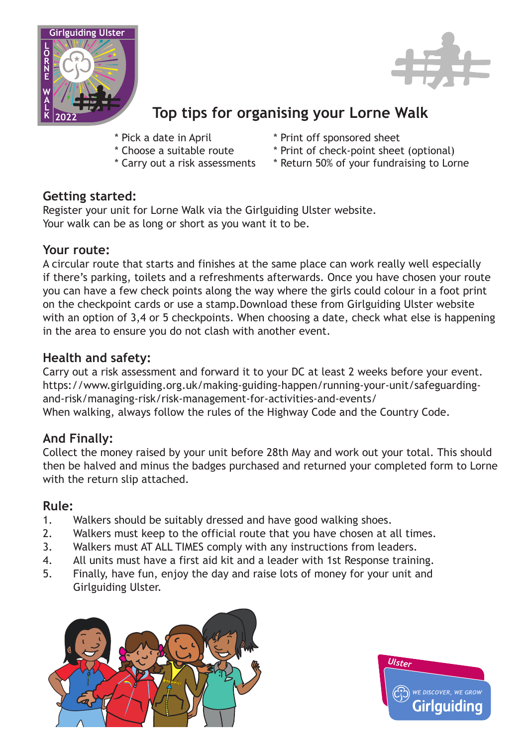



# **Top tips for organising your Lorne Walk**

- \* Pick a date in April
- \* Choose a suitable route
- \* Carry out a risk assessments
- \* Print off sponsored sheet
- \* Print of check-point sheet (optional)
- \* Return 50% of your fundraising to Lorne

### **Getting started:**

Register your unit for Lorne Walk via the Girlguiding Ulster website. Your walk can be as long or short as you want it to be.

#### **Your route:**

A circular route that starts and finishes at the same place can work really well especially if there's parking, toilets and a refreshments afterwards. Once you have chosen your route you can have a few check points along the way where the girls could colour in a foot print on the checkpoint cards or use a stamp.Download these from Girlguiding Ulster website with an option of 3,4 or 5 checkpoints. When choosing a date, check what else is happening in the area to ensure you do not clash with another event.

## **Health and safety:**

Carry out a risk assessment and forward it to your DC at least 2 weeks before your event. https://www.girlguiding.org.uk/making-guiding-happen/running-your-unit/safeguardingand-risk/managing-risk/risk-management-for-activities-and-events/ When walking, always follow the rules of the Highway Code and the Country Code.

# **And Finally:**

Collect the money raised by your unit before 28th May and work out your total. This should then be halved and minus the badges purchased and returned your completed form to Lorne with the return slip attached.

### **Rule:**

- 1. Walkers should be suitably dressed and have good walking shoes.
- 2. Walkers must keep to the official route that you have chosen at all times.
- 3. Walkers must AT ALL TIMES comply with any instructions from leaders.
- 4. All units must have a first aid kit and a leader with 1st Response training.
- 5. Finally, have fun, enjoy the day and raise lots of money for your unit and Girlguiding Ulster.